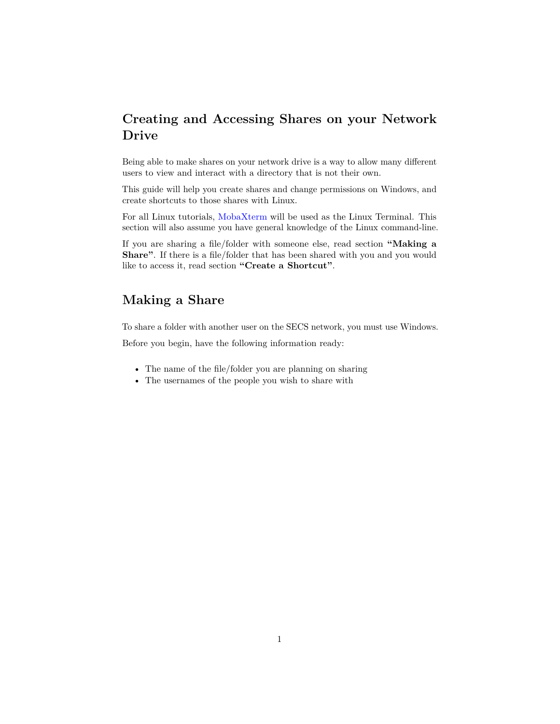## **Creating and Accessing Shares on your Network Drive**

Being able to make shares on your network drive is a way to allow many different users to view and interact with a directory that is not their own.

This guide will help you create shares and change permissions on Windows, and create shortcuts to those shares with Linux.

For all Linux tutorials, [MobaXterm](http://secs.oakland.edu/docs/pdf/mobaXTermConnectToServer.pdf) will be used as the Linux Terminal. This section will also assume you have general knowledge of the Linux command-line.

If you are sharing a file/folder with someone else, read section **"Making a Share"**. If there is a file/folder that has been shared with you and you would like to access it, read section **"Create a Shortcut"**.

## **Making a Share**

To share a folder with another user on the SECS network, you must use Windows.

Before you begin, have the following information ready:

- The name of the file/folder you are planning on sharing
- The usernames of the people you wish to share with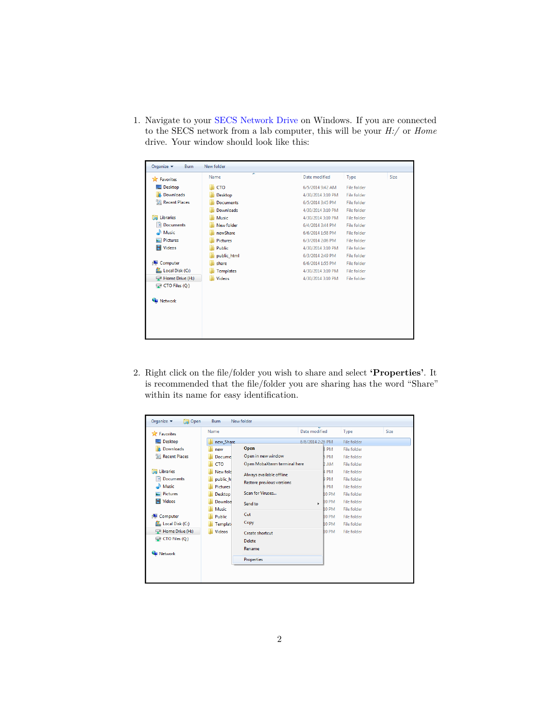1. Navigate to your [SECS Network Drive](http://secs.oakland.edu/docs/pdf/accessNetworkDrive.pdf) on Windows. If you are connected to the SECS network from a lab computer, this will be your *H:/* or *Home* drive. Your window should look like this:

| Organize $\blacktriangledown$<br>Burn | New folder       |                   |                    |      |  |  |  |
|---------------------------------------|------------------|-------------------|--------------------|------|--|--|--|
| Favorites                             | ⋝<br>Name        | Date modified     | Type               | Size |  |  |  |
| Desktop                               | <b>CTO</b>       | 6/5/2014 9:42 AM  | File folder        |      |  |  |  |
| <b>In</b> . Downloads                 | Desktop          | 4/30/2014 3:10 PM | File folder        |      |  |  |  |
| <b>Recent Places</b>                  | <b>Documents</b> | 6/5/2014 3:45 PM  | <b>File folder</b> |      |  |  |  |
|                                       | <b>Downloads</b> | 4/30/2014 3:10 PM | <b>File folder</b> |      |  |  |  |
| <b>Libraries</b>                      | Music            | 4/30/2014 3:10 PM | <b>File folder</b> |      |  |  |  |
| 걸<br><b>Documents</b>                 | New folder       | 6/4/2014 3:44 PM  | <b>File folder</b> |      |  |  |  |
| al <sup>l</sup> Music                 | newShare         | 6/6/2014 1:58 PM  | <b>File folder</b> |      |  |  |  |
| Pictures                              | <b>Pictures</b>  | 6/3/2014 2:06 PM  | File folder        |      |  |  |  |
| Videos<br>ÞС                          | Public           | 4/30/2014 3:10 PM | File folder        |      |  |  |  |
|                                       | public html      | 6/3/2014 2:49 PM  | File folder        |      |  |  |  |
| كر<br>Computer                        | share            | 6/6/2014 1:55 PM  | File folder        |      |  |  |  |
| Local Disk (C:)                       | <b>Templates</b> | 4/30/2014 3:10 PM | File folder        |      |  |  |  |
| Home Drive (H:)                       | <b>Videos</b>    | 4/30/2014 3:10 PM | File folder        |      |  |  |  |
| $\Box$ CTO Files (Q:)                 |                  |                   |                    |      |  |  |  |
|                                       |                  |                   |                    |      |  |  |  |
| Network                               |                  |                   |                    |      |  |  |  |
|                                       |                  |                   |                    |      |  |  |  |
|                                       |                  |                   |                    |      |  |  |  |
|                                       |                  |                   |                    |      |  |  |  |
|                                       |                  |                   |                    |      |  |  |  |

2. Right click on the file/folder you wish to share and select **'Properties'**. It is recommended that the file/folder you are sharing has the word "Share" within its name for easy identification.

| <b>X</b> Favorites        | Name            |                              | Date modified     | Type               | Size |
|---------------------------|-----------------|------------------------------|-------------------|--------------------|------|
| Desktop                   | new Share       |                              | 6/6/2014 2:26 PM  | File folder        |      |
| Downloads                 | new             | Open                         | <b>BPM</b>        | File folder        |      |
| Recent Places             | Docume          | Open in new window           | <b>5 PM</b>       | <b>File folder</b> |      |
|                           | <b>CTO</b>      | Open MobaXterm terminal here | 2 AM              | <b>File folder</b> |      |
| <b>Libraries</b><br>m     | New fold        | Always available offline     | 4 PM              | <b>File folder</b> |      |
| R<br><b>Documents</b>     | public hi       | Restore previous versions    | <b>9 PM</b>       | File folder        |      |
| Music                     | <b>Pictures</b> |                              | 6 PM              | File folder        |      |
| <b>Pictures</b>           | Desktop         | Scan for Viruses             | <b>10 PM</b>      | <b>File folder</b> |      |
| Ħ<br><b>Videos</b>        | Downloa         | Send to                      | <b>LO PM</b><br>¥ | <b>File folder</b> |      |
|                           | Music           |                              | 10 PM             | <b>File folder</b> |      |
| Computer                  | Public          | Cut                          | 10 PM             | File folder        |      |
| Local Disk (C:)           | <b>Template</b> | Copy                         | 10 PM             | File folder        |      |
| Home Drive (H:)           | <b>Videos</b>   | Create shortcut              | <b>10 PM</b>      | <b>File folder</b> |      |
| $\bigcirc$ CTO Files (Q:) |                 | <b>Delete</b>                |                   |                    |      |
|                           |                 | Rename                       |                   |                    |      |
| <b>Network</b>            |                 |                              |                   |                    |      |
|                           |                 | Properties                   |                   |                    |      |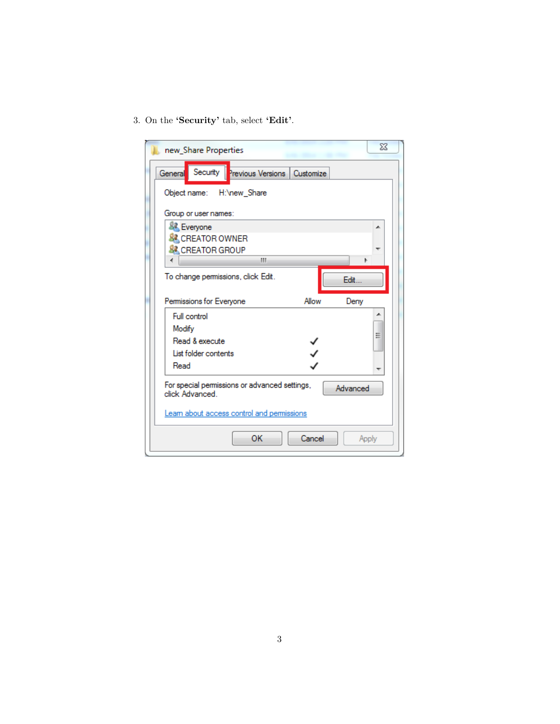3. On the **'Security'** tab, select **'Edit'**.

| new_Share Properties                                                         | $\Sigma$ |
|------------------------------------------------------------------------------|----------|
| Security Previous Versions   Customize<br>General                            |          |
| Object name: H:\new_Share                                                    |          |
| Group or user names:                                                         |          |
| <b>&amp; Everyone</b>                                                        | ᆂ        |
| <b>&amp; CREATOR OWNER</b>                                                   |          |
| <b>&amp; CREATOR GROUP</b><br>∢                                              |          |
| ш<br>Þ                                                                       |          |
| To change permissions, click Edit.<br>Fdit -                                 |          |
| Permissions for Everyone<br>Allow<br>Deny                                    |          |
| Full control                                                                 |          |
| Modify                                                                       | Ξ        |
| Read & execute                                                               |          |
| List folder contents                                                         |          |
| Read                                                                         |          |
| For special permissions or advanced settings,<br>Advanced<br>click Advanced. |          |
| Leam about access control and permissions                                    |          |
| ОК<br>Cancel                                                                 | Apply    |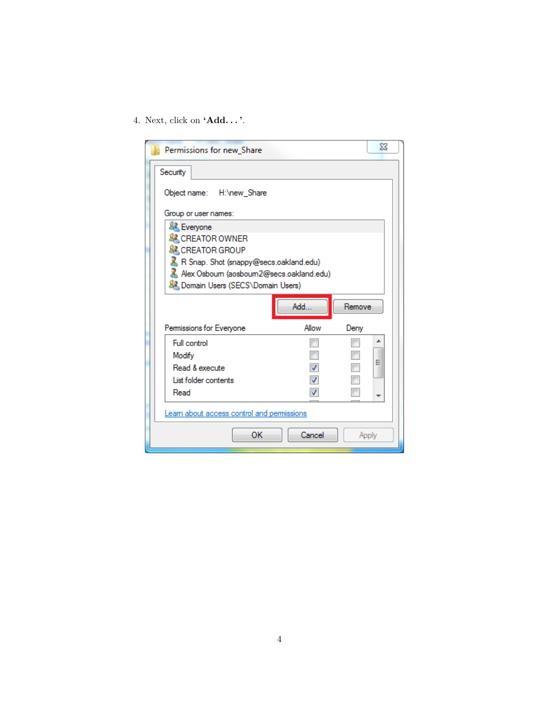4. Next, click on **'Add. . . '**.

| Permissions for new_Share                  |               | $\Sigma$ |  |  |  |  |  |  |  |  |
|--------------------------------------------|---------------|----------|--|--|--|--|--|--|--|--|
| Security                                   |               |          |  |  |  |  |  |  |  |  |
| Object name: H:\new Share                  |               |          |  |  |  |  |  |  |  |  |
| Group or user names:                       |               |          |  |  |  |  |  |  |  |  |
| <b>Everyone</b>                            |               |          |  |  |  |  |  |  |  |  |
| <b>&amp; CREATOR OWNER</b>                 |               |          |  |  |  |  |  |  |  |  |
| <b>&amp; CREATOR GROUP</b>                 |               |          |  |  |  |  |  |  |  |  |
| R Snap. Shot (snappy@secs.oakland.edu)     |               |          |  |  |  |  |  |  |  |  |
| Alex Osboum (aosboum2@secs.oakland.edu)    |               |          |  |  |  |  |  |  |  |  |
| <b>SA Domain Users (SECS\Domain Users)</b> |               |          |  |  |  |  |  |  |  |  |
| Add<br>Remove                              |               |          |  |  |  |  |  |  |  |  |
| Permissions for Everyone                   | Allow<br>Deny |          |  |  |  |  |  |  |  |  |
| Full control                               |               | ∸        |  |  |  |  |  |  |  |  |
| Modify                                     |               |          |  |  |  |  |  |  |  |  |
| Read & execute                             |               | Ξ        |  |  |  |  |  |  |  |  |
| List folder contents                       |               |          |  |  |  |  |  |  |  |  |
| Read                                       |               |          |  |  |  |  |  |  |  |  |
| Learn about access control and permissions |               |          |  |  |  |  |  |  |  |  |
| OK                                         | Cancel        | Apply    |  |  |  |  |  |  |  |  |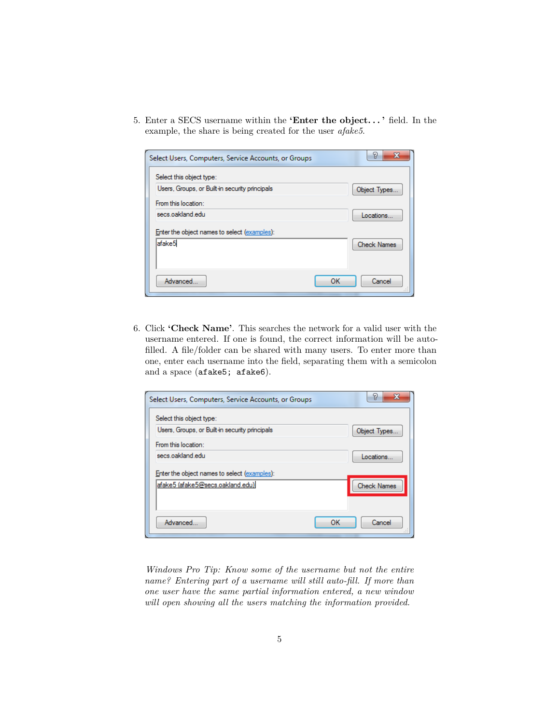5. Enter a SECS username within the **'Enter the object. . . '** field. In the example, the share is being created for the user *afake5*.

| Select Users, Computers, Service Accounts, or Groups | P<br>x             |
|------------------------------------------------------|--------------------|
| Select this object type:                             |                    |
| Users, Groups, or Built-in security principals       | Object Types       |
| From this location:                                  |                    |
| secs.oakland.edu                                     | Locations          |
| Enter the object names to select (examples):         |                    |
| afake5                                               | <b>Check Names</b> |
|                                                      |                    |
|                                                      |                    |
| Advanced<br>OK                                       | Cancel             |
|                                                      |                    |

6. Click **'Check Name'**. This searches the network for a valid user with the username entered. If one is found, the correct information will be autofilled. A file/folder can be shared with many users. To enter more than one, enter each username into the field, separating them with a semicolon and a space (afake5; afake6).

| Select this object type:<br>Users, Groups, or Built-in security principals<br>Object Types<br>From this location:<br>secs oakland edu.<br>Locations<br>Enter the object names to select (examples):<br> afake5 (afake5@secs.oakland.edu) <br><b>Check Names</b><br>Advanced<br>OK<br>Cancel | Select Users, Computers, Service Accounts, or Groups | Y.<br>х |
|---------------------------------------------------------------------------------------------------------------------------------------------------------------------------------------------------------------------------------------------------------------------------------------------|------------------------------------------------------|---------|
|                                                                                                                                                                                                                                                                                             |                                                      |         |
|                                                                                                                                                                                                                                                                                             |                                                      |         |
|                                                                                                                                                                                                                                                                                             |                                                      |         |
|                                                                                                                                                                                                                                                                                             |                                                      |         |
|                                                                                                                                                                                                                                                                                             |                                                      |         |
|                                                                                                                                                                                                                                                                                             |                                                      |         |
|                                                                                                                                                                                                                                                                                             |                                                      |         |
|                                                                                                                                                                                                                                                                                             |                                                      |         |
|                                                                                                                                                                                                                                                                                             |                                                      |         |

*Windows Pro Tip: Know some of the username but not the entire name? Entering part of a username will still auto-fill. If more than one user have the same partial information entered, a new window will open showing all the users matching the information provided.*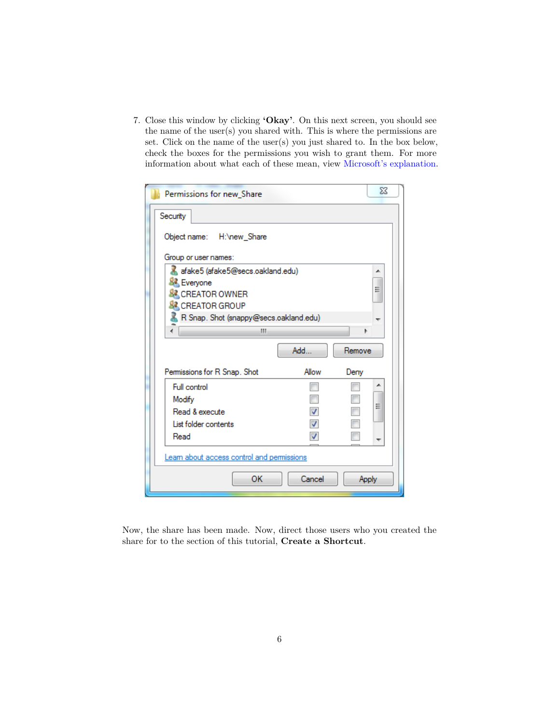7. Close this window by clicking **'Okay'**. On this next screen, you should see the name of the user(s) you shared with. This is where the permissions are set. Click on the name of the user(s) you just shared to. In the box below, check the boxes for the permissions you wish to grant them. For more information about what each of these mean, view [Microsoft's explanation.](http://technet.microsoft.com/en-us/library/bb727008.aspx)

| Permissions for new Share                                                                      |                                        | ΣŜ    |  |  |  |  |  |  |
|------------------------------------------------------------------------------------------------|----------------------------------------|-------|--|--|--|--|--|--|
| Security                                                                                       |                                        |       |  |  |  |  |  |  |
| Object name: H:\new_Share                                                                      |                                        |       |  |  |  |  |  |  |
| Group or user names:                                                                           |                                        |       |  |  |  |  |  |  |
| afake5 (afake5@secs.oakland.edu)<br>┻<br><b>SA</b> Everyone<br>Ξ<br><b>&amp; CREATOR OWNER</b> |                                        |       |  |  |  |  |  |  |
| <b>&amp; CREATOR GROUP</b>                                                                     |                                        |       |  |  |  |  |  |  |
|                                                                                                | R Snap. Shot (snappy@secs.oakland.edu) |       |  |  |  |  |  |  |
| ш                                                                                              |                                        | Þ     |  |  |  |  |  |  |
|                                                                                                | Add<br>Remove                          |       |  |  |  |  |  |  |
| Permissions for R Snap. Shot                                                                   | Allow<br>Deny                          |       |  |  |  |  |  |  |
| Full control                                                                                   |                                        |       |  |  |  |  |  |  |
| Modify                                                                                         |                                        |       |  |  |  |  |  |  |
| Read & execute                                                                                 |                                        | Ξ     |  |  |  |  |  |  |
| List folder contents                                                                           |                                        |       |  |  |  |  |  |  |
| Read<br>V                                                                                      |                                        |       |  |  |  |  |  |  |
| Learn about access control and permissions                                                     |                                        |       |  |  |  |  |  |  |
| OK                                                                                             | Cancel                                 | Apply |  |  |  |  |  |  |

Now, the share has been made. Now, direct those users who you created the share for to the section of this tutorial, **Create a Shortcut**.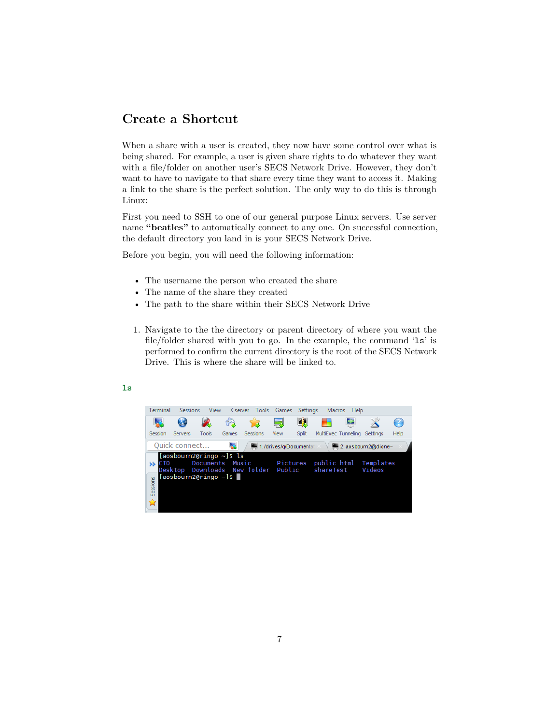### **Create a Shortcut**

When a share with a user is created, they now have some control over what is being shared. For example, a user is given share rights to do whatever they want with a file/folder on another user's SECS Network Drive. However, they don't want to have to navigate to that share every time they want to access it. Making a link to the share is the perfect solution. The only way to do this is through Linux:

First you need to SSH to one of our general purpose Linux servers. Use server name "**beatles**" to automatically connect to any one. On successful connection, the default directory you land in is your SECS Network Drive.

Before you begin, you will need the following information:

- The username the person who created the share
- The name of the share they created
- The path to the share within their SECS Network Drive
- 1. Navigate to the the directory or parent directory of where you want the file/folder shared with you to go. In the example, the command 'ls' is performed to confirm the current directory is the root of the SECS Network Drive. This is where the share will be linked to.



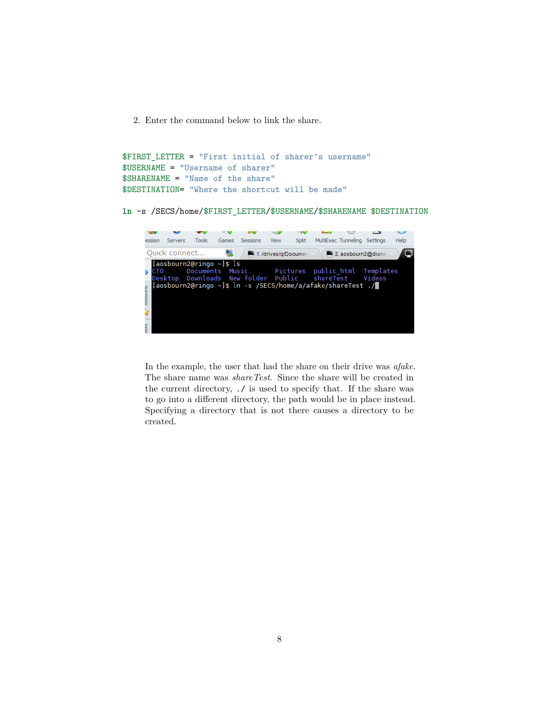2. Enter the command below to link the share.

```
$FIRST_LETTER = "First initial of sharer's username"
$USERNAME = "Username of sharer"
$SHARENAME = "Name of the share"
$DESTINATION= "Where the shortcut will be made"
```
**ln** -s /SECS/home/\$FIRST\_LETTER/\$USERNAME/\$SHARENAME \$DESTINATION



In the example, the user that had the share on their drive was *afake*. The share name was *shareTest*. Since the share will be created in the current directory, ./ is used to specify that. If the share was to go into a different directory, the path would be in place instead. Specifying a directory that is not there causes a directory to be created.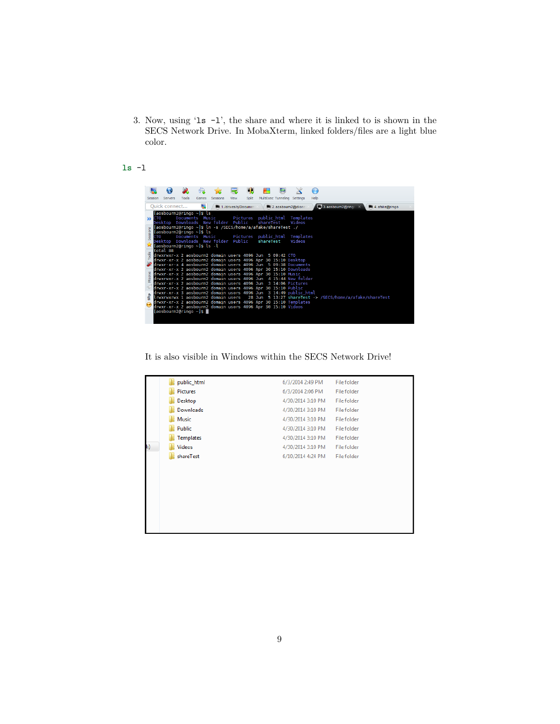3. Now, using 'ls -l', the share and where it is linked to is shown in the SECS Network Drive. In MobaXterm, linked folders/files are a light blue color.

#### **ls** -l

|          |                 |                |                             |       |                                                                                                    |                       | Щ.    |  |           |                                                                                               | Ω    |                                         |  |                |  |
|----------|-----------------|----------------|-----------------------------|-------|----------------------------------------------------------------------------------------------------|-----------------------|-------|--|-----------|-----------------------------------------------------------------------------------------------|------|-----------------------------------------|--|----------------|--|
| Session  |                 | <b>Servers</b> | Tools                       | Games | Sessions                                                                                           | View                  | Split |  |           | MultiExec Tunneling Settings                                                                  | Help |                                         |  |                |  |
|          |                 |                |                             |       |                                                                                                    |                       |       |  |           |                                                                                               |      |                                         |  |                |  |
|          |                 | Ouick connect  |                             | Ь.    |                                                                                                    | 1. /drives/g/Document |       |  |           | 2. aosbourn2@dione                                                                            |      | $\Box$ 3. aosbourn2@ring $\circ \times$ |  | 4. afake@ringo |  |
|          |                 |                | [aosbourn2@ringo ~]\$ ls    |       |                                                                                                    |                       |       |  |           |                                                                                               |      |                                         |  |                |  |
|          | $\lambda$ CTO   |                |                             |       | Documents Music                                                                                    |                       |       |  |           | Pictures public html Templates<br>Videos                                                      |      |                                         |  |                |  |
|          |                 |                |                             |       | Desktop Downloads New folder Public<br>[aosbourn2@ringo ~]\$ ln -s /SECS/home/a/afake/shareTest ./ |                       |       |  | shareTest |                                                                                               |      |                                         |  |                |  |
| Sessions |                 |                | [aosbourn2@ringo ~]\$ ls    |       |                                                                                                    |                       |       |  |           |                                                                                               |      |                                         |  |                |  |
|          | CT <sub>0</sub> |                |                             |       |                                                                                                    |                       |       |  |           | Documents Music - Pictures public html Templates                                              |      |                                         |  |                |  |
|          |                 |                |                             |       | Desktop Downloads New folder Public                                                                |                       |       |  | shareTest | Videos                                                                                        |      |                                         |  |                |  |
|          |                 |                | [aosbourn2@ringo ~]\$ ls -l |       |                                                                                                    |                       |       |  |           |                                                                                               |      |                                         |  |                |  |
|          |                 | total 88       |                             |       | drwxrwxr-x 2 aosbourn2 domain users 4096 Jun 5 09:42 CTO                                           |                       |       |  |           |                                                                                               |      |                                         |  |                |  |
| Tools    |                 |                |                             |       |                                                                                                    |                       |       |  |           | drwxr-xr-x 2 aosbourn2 domain users 4096 Apr 30 15:10 Desktop                                 |      |                                         |  |                |  |
|          |                 |                |                             |       |                                                                                                    |                       |       |  |           | drwxr-xr-x 4 aosbourn2 domain users 4096 Jun 5 09:38 Documents                                |      |                                         |  |                |  |
|          |                 |                |                             |       |                                                                                                    |                       |       |  |           | drwxr-xr-x 2 aosbourn2 domain users 4096 Apr 30 15:10 Downloads                               |      |                                         |  |                |  |
|          |                 |                |                             |       | drwxr-xr-x 2 aosbourn2 domain users 4096 Apr 30 15:10 Music                                        |                       |       |  |           |                                                                                               |      |                                         |  |                |  |
|          |                 |                |                             |       |                                                                                                    |                       |       |  |           | drwxrwxr-x 2 aosbourn2 domain users 4096 Jun 4 15:44 New folder                               |      |                                         |  |                |  |
|          |                 |                |                             |       |                                                                                                    |                       |       |  |           | drwxr-xr-x 2 aosbourn2 domain users 4096 Jun 3 14:06 Pictures                                 |      |                                         |  |                |  |
|          |                 |                |                             |       | drwxr-xr-x 2 aosbourn2 domain users 4096 Apr 30 15:10 Public                                       |                       |       |  |           | drwxr-xr-x 3 aosbourn2 domain users 4096 Jun 3 14:49 public html                              |      |                                         |  |                |  |
| ę        |                 |                |                             |       |                                                                                                    |                       |       |  |           | lrwxrwxrwx 1 aosbourn2 domain users  28 Jun 5 13:27 shareTest -> /SECS/home/a/afake/shareTest |      |                                         |  |                |  |
|          |                 |                |                             |       |                                                                                                    |                       |       |  |           | drwxr-xr-x 2 aosbourn2 domain users 4096 Apr 30 15:10 Templates                               |      |                                         |  |                |  |
|          |                 |                |                             |       | drwxr-xr-x 2 aosbourn2 domain users 4096 Apr 30 15:10 Videos                                       |                       |       |  |           |                                                                                               |      |                                         |  |                |  |
|          |                 |                | [aosbourn2@ringo ~]\$ D     |       |                                                                                                    |                       |       |  |           |                                                                                               |      |                                         |  |                |  |
|          |                 |                |                             |       |                                                                                                    |                       |       |  |           |                                                                                               |      |                                         |  |                |  |
|          |                 |                |                             |       |                                                                                                    |                       |       |  |           |                                                                                               |      |                                         |  |                |  |

It is also visible in Windows within the SECS Network Drive!

|    | public_html     | 6/3/2014 2:49 PM  | File folder |
|----|-----------------|-------------------|-------------|
|    | <b>Pictures</b> | 6/3/2014 2:06 PM  | File folder |
|    | Desktop         | 4/30/2014 3:10 PM | File folder |
|    | Downloads       | 4/30/2014 3:10 PM | File folder |
|    | Music           | 4/30/2014 3:10 PM | File folder |
|    | Public          | 4/30/2014 3:10 PM | File folder |
|    | Templates       | 4/30/2014 3:10 PM | File folder |
| k) | <b>Videos</b>   | 4/30/2014 3:10 PM | File folder |
|    | shareTest       | 6/10/2014 4:24 PM | File folder |
|    |                 |                   |             |
|    |                 |                   |             |
|    |                 |                   |             |
|    |                 |                   |             |
|    |                 |                   |             |
|    |                 |                   |             |
|    |                 |                   |             |
|    |                 |                   |             |